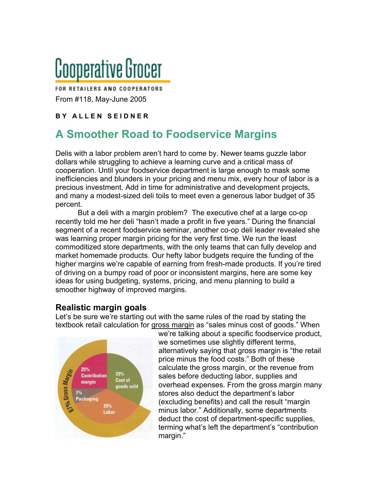# Cooperative Grocer

FOR RETAILERS AND COOPERATORS From #118, May-June 2005

#### **B Y A L L E N S E I D N E R**

## **A Smoother Road to Foodservice Margins**

Delis with a labor problem aren't hard to come by. Newer teams guzzle labor dollars while struggling to achieve a learning curve and a critical mass of cooperation. Until your foodservice department is large enough to mask some inefficiencies and blunders in your pricing and menu mix, every hour of labor is a precious investment. Add in time for administrative and development projects, and many a modest-sized deli toils to meet even a generous labor budget of 35 percent.

But a deli with a margin problem? The executive chef at a large co-op recently told me her deli "hasn't made a profit in five years." During the financial segment of a recent foodservice seminar, another co-op deli leader revealed she was learning proper margin pricing for the very first time. We run the least commoditized store departments, with the only teams that can fully develop and market homemade products. Our hefty labor budgets require the funding of the higher margins we're capable of earning from fresh-made products. If you're tired of driving on a bumpy road of poor or inconsistent margins, here are some key ideas for using budgeting, systems, pricing, and menu planning to build a smoother highway of improved margins.

#### **Realistic margin goals**

Let's be sure we're starting out with the same rules of the road by stating the textbook retail calculation for gross margin as "sales minus cost of goods." When



we're talking about a specific foodservice product, we sometimes use slightly different terms, alternatively saying that gross margin is "the retail price minus the food costs." Both of these calculate the gross margin, or the revenue from sales before deducting labor, supplies and overhead expenses. From the gross margin many stores also deduct the department's labor (excluding benefits) and call the result "margin minus labor." Additionally, some departments deduct the cost of department-specific supplies, terming what's left the department's "contribution margin."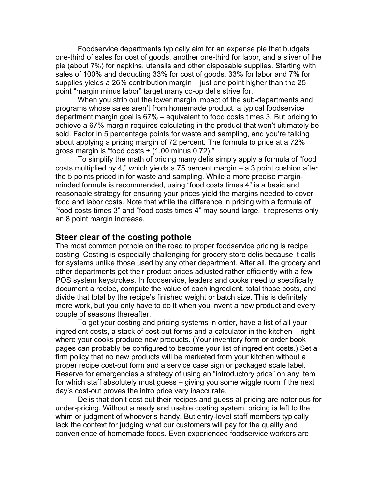Foodservice departments typically aim for an expense pie that budgets one-third of sales for cost of goods, another one-third for labor, and a sliver of the pie (about 7%) for napkins, utensils and other disposable supplies. Starting with sales of 100% and deducting 33% for cost of goods, 33% for labor and 7% for supplies yields a 26% contribution margin – just one point higher than the 25 point "margin minus labor" target many co-op delis strive for.

When you strip out the lower margin impact of the sub-departments and programs whose sales aren't from homemade product, a typical foodservice department margin goal is 67% – equivalent to food costs times 3. But pricing to achieve a 67% margin requires calculating in the product that won't ultimately be sold. Factor in 5 percentage points for waste and sampling, and you're talking about applying a pricing margin of 72 percent. The formula to price at a 72% gross margin is "food costs  $\div$  (1.00 minus 0.72)."

To simplify the math of pricing many delis simply apply a formula of "food costs multiplied by 4," which yields a 75 percent margin – a 3 point cushion after the 5 points priced in for waste and sampling. While a more precise marginminded formula is recommended, using "food costs times 4" is a basic and reasonable strategy for ensuring your prices yield the margins needed to cover food and labor costs. Note that while the difference in pricing with a formula of "food costs times 3" and "food costs times 4" may sound large, it represents only an 8 point margin increase.

#### **Steer clear of the costing pothole**

The most common pothole on the road to proper foodservice pricing is recipe costing. Costing is especially challenging for grocery store delis because it calls for systems unlike those used by any other department. After all, the grocery and other departments get their product prices adjusted rather efficiently with a few POS system keystrokes. In foodservice, leaders and cooks need to specifically document a recipe, compute the value of each ingredient, total those costs, and divide that total by the recipe's finished weight or batch size. This is definitely more work, but you only have to do it when you invent a new product and every couple of seasons thereafter.

To get your costing and pricing systems in order, have a list of all your ingredient costs, a stack of cost-out forms and a calculator in the kitchen – right where your cooks produce new products. (Your inventory form or order book pages can probably be configured to become your list of ingredient costs.) Set a firm policy that no new products will be marketed from your kitchen without a proper recipe cost-out form and a service case sign or packaged scale label. Reserve for emergencies a strategy of using an "introductory price" on any item for which staff absolutely must guess – giving you some wiggle room if the next day's cost-out proves the intro price very inaccurate.

Delis that don't cost out their recipes and guess at pricing are notorious for under-pricing. Without a ready and usable costing system, pricing is left to the whim or judgment of whoever's handy. But entry-level staff members typically lack the context for judging what our customers will pay for the quality and convenience of homemade foods. Even experienced foodservice workers are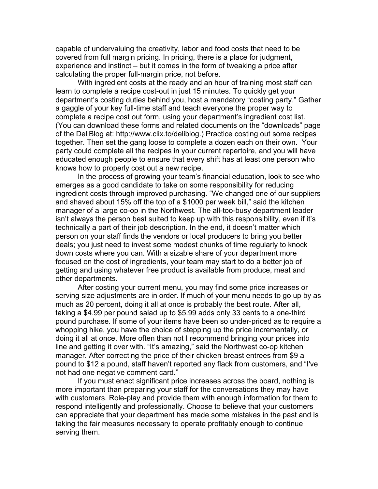capable of undervaluing the creativity, labor and food costs that need to be covered from full margin pricing. In pricing, there is a place for judgment, experience and instinct – but it comes in the form of tweaking a price after calculating the proper full-margin price, not before.

With ingredient costs at the ready and an hour of training most staff can learn to complete a recipe cost-out in just 15 minutes. To quickly get your department's costing duties behind you, host a mandatory "costing party." Gather a gaggle of your key full-time staff and teach everyone the proper way to complete a recipe cost out form, using your department's ingredient cost list. (You can download these forms and related documents on the "downloads" page of the DeliBlog at: http://www.clix.to/deliblog.) Practice costing out some recipes together. Then set the gang loose to complete a dozen each on their own. Your party could complete all the recipes in your current repertoire, and you will have educated enough people to ensure that every shift has at least one person who knows how to properly cost out a new recipe.

In the process of growing your team's financial education, look to see who emerges as a good candidate to take on some responsibility for reducing ingredient costs through improved purchasing. "We changed one of our suppliers and shaved about 15% off the top of a \$1000 per week bill," said the kitchen manager of a large co-op in the Northwest. The all-too-busy department leader isn't always the person best suited to keep up with this responsibility, even if it's technically a part of their job description. In the end, it doesn't matter which person on your staff finds the vendors or local producers to bring you better deals; you just need to invest some modest chunks of time regularly to knock down costs where you can. With a sizable share of your department more focused on the cost of ingredients, your team may start to do a better job of getting and using whatever free product is available from produce, meat and other departments.

After costing your current menu, you may find some price increases or serving size adjustments are in order. If much of your menu needs to go up by as much as 20 percent, doing it all at once is probably the best route. After all, taking a \$4.99 per pound salad up to \$5.99 adds only 33 cents to a one-third pound purchase. If some of your items have been so under-priced as to require a whopping hike, you have the choice of stepping up the price incrementally, or doing it all at once. More often than not I recommend bringing your prices into line and getting it over with. "It's amazing," said the Northwest co-op kitchen manager. After correcting the price of their chicken breast entrees from \$9 a pound to \$12 a pound, staff haven't reported any flack from customers, and "I've not had one negative comment card."

If you must enact significant price increases across the board, nothing is more important than preparing your staff for the conversations they may have with customers. Role-play and provide them with enough information for them to respond intelligently and professionally. Choose to believe that your customers can appreciate that your department has made some mistakes in the past and is taking the fair measures necessary to operate profitably enough to continue serving them.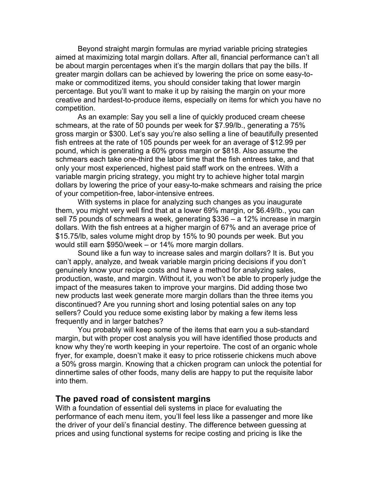Beyond straight margin formulas are myriad variable pricing strategies aimed at maximizing total margin dollars. After all, financial performance can't all be about margin percentages when it's the margin dollars that pay the bills. If greater margin dollars can be achieved by lowering the price on some easy-tomake or commoditized items, you should consider taking that lower margin percentage. But you'll want to make it up by raising the margin on your more creative and hardest-to-produce items, especially on items for which you have no competition.

As an example: Say you sell a line of quickly produced cream cheese schmears, at the rate of 50 pounds per week for \$7.99/lb., generating a 75% gross margin or \$300. Let's say you're also selling a line of beautifully presented fish entrees at the rate of 105 pounds per week for an average of \$12.99 per pound, which is generating a 60% gross margin or \$818. Also assume the schmears each take one-third the labor time that the fish entrees take, and that only your most experienced, highest paid staff work on the entrees. With a variable margin pricing strategy, you might try to achieve higher total margin dollars by lowering the price of your easy-to-make schmears and raising the price of your competition-free, labor-intensive entrees.

With systems in place for analyzing such changes as you inaugurate them, you might very well find that at a lower 69% margin, or \$6.49/lb., you can sell 75 pounds of schmears a week, generating \$336 – a 12% increase in margin dollars. With the fish entrees at a higher margin of 67% and an average price of \$15.75/lb, sales volume might drop by 15% to 90 pounds per week. But you would still earn \$950/week – or 14% more margin dollars.

Sound like a fun way to increase sales and margin dollars? It is. But you can't apply, analyze, and tweak variable margin pricing decisions if you don't genuinely know your recipe costs and have a method for analyzing sales, production, waste, and margin. Without it, you won't be able to properly judge the impact of the measures taken to improve your margins. Did adding those two new products last week generate more margin dollars than the three items you discontinued? Are you running short and losing potential sales on any top sellers? Could you reduce some existing labor by making a few items less frequently and in larger batches?

You probably will keep some of the items that earn you a sub-standard margin, but with proper cost analysis you will have identified those products and know why they're worth keeping in your repertoire. The cost of an organic whole fryer, for example, doesn't make it easy to price rotisserie chickens much above a 50% gross margin. Knowing that a chicken program can unlock the potential for dinnertime sales of other foods, many delis are happy to put the requisite labor into them.

#### **The paved road of consistent margins**

With a foundation of essential deli systems in place for evaluating the performance of each menu item, you'll feel less like a passenger and more like the driver of your deli's financial destiny. The difference between guessing at prices and using functional systems for recipe costing and pricing is like the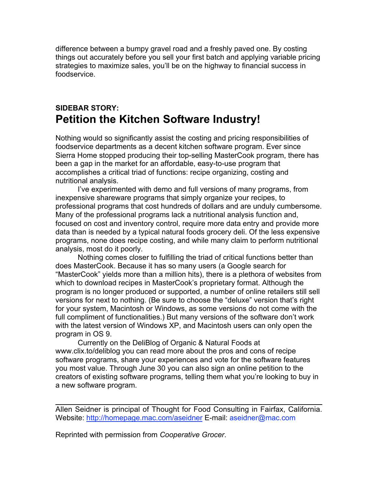difference between a bumpy gravel road and a freshly paved one. By costing things out accurately before you sell your first batch and applying variable pricing strategies to maximize sales, you'll be on the highway to financial success in foodservice.

### **SIDEBAR STORY: Petition the Kitchen Software Industry!**

Nothing would so significantly assist the costing and pricing responsibilities of foodservice departments as a decent kitchen software program. Ever since Sierra Home stopped producing their top-selling MasterCook program, there has been a gap in the market for an affordable, easy-to-use program that accomplishes a critical triad of functions: recipe organizing, costing and nutritional analysis.

I've experimented with demo and full versions of many programs, from inexpensive shareware programs that simply organize your recipes, to professional programs that cost hundreds of dollars and are unduly cumbersome. Many of the professional programs lack a nutritional analysis function and, focused on cost and inventory control, require more data entry and provide more data than is needed by a typical natural foods grocery deli. Of the less expensive programs, none does recipe costing, and while many claim to perform nutritional analysis, most do it poorly.

Nothing comes closer to fulfilling the triad of critical functions better than does MasterCook. Because it has so many users (a Google search for "MasterCook" yields more than a million hits), there is a plethora of websites from which to download recipes in MasterCook's proprietary format. Although the program is no longer produced or supported, a number of online retailers still sell versions for next to nothing. (Be sure to choose the "deluxe" version that's right for your system, Macintosh or Windows, as some versions do not come with the full compliment of functionalities.) But many versions of the software don't work with the latest version of Windows XP, and Macintosh users can only open the program in OS 9.

Currently on the DeliBlog of Organic & Natural Foods at www.clix.to/deliblog you can read more about the pros and cons of recipe software programs, share your experiences and vote for the software features you most value. Through June 30 you can also sign an online petition to the creators of existing software programs, telling them what you're looking to buy in a new software program.

Allen Seidner is principal of Thought for Food Consulting in Fairfax, California. Website: http://homepage.mac.com/aseidner E-mail: aseidner@mac.com

Reprinted with permission from *Cooperative Grocer*.